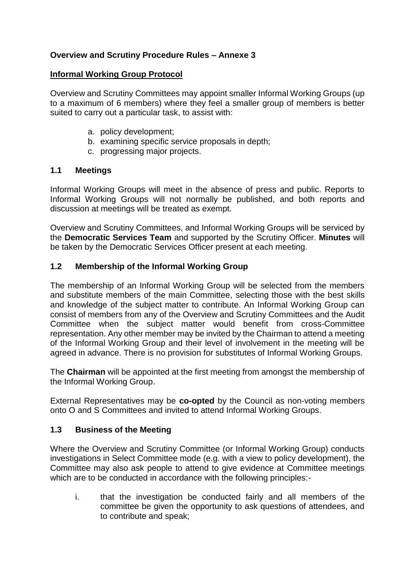# **Overview and Scrutiny Procedure Rules – Annexe 3**

#### **Informal Working Group Protocol**

Overview and Scrutiny Committees may appoint smaller Informal Working Groups (up to a maximum of 6 members) where they feel a smaller group of members is better suited to carry out a particular task, to assist with:

- a. policy development;
- b. examining specific service proposals in depth;
- c. progressing major projects.

### **1.1 Meetings**

Informal Working Groups will meet in the absence of press and public. Reports to Informal Working Groups will not normally be published, and both reports and discussion at meetings will be treated as exempt.

Overview and Scrutiny Committees, and Informal Working Groups will be serviced by the **Democratic Services Team** and supported by the Scrutiny Officer. **Minutes** will be taken by the Democratic Services Officer present at each meeting.

## **1.2 Membership of the Informal Working Group**

The membership of an Informal Working Group will be selected from the members and substitute members of the main Committee, selecting those with the best skills and knowledge of the subject matter to contribute. An Informal Working Group can consist of members from any of the Overview and Scrutiny Committees and the Audit Committee when the subject matter would benefit from cross-Committee representation. Any other member may be invited by the Chairman to attend a meeting of the Informal Working Group and their level of involvement in the meeting will be agreed in advance. There is no provision for substitutes of Informal Working Groups.

The **Chairman** will be appointed at the first meeting from amongst the membership of the Informal Working Group.

External Representatives may be **co-opted** by the Council as non-voting members onto O and S Committees and invited to attend Informal Working Groups.

### **1.3 Business of the Meeting**

Where the Overview and Scrutiny Committee (or Informal Working Group) conducts investigations in Select Committee mode (e.g. with a view to policy development), the Committee may also ask people to attend to give evidence at Committee meetings which are to be conducted in accordance with the following principles:-

i. that the investigation be conducted fairly and all members of the committee be given the opportunity to ask questions of attendees, and to contribute and speak;